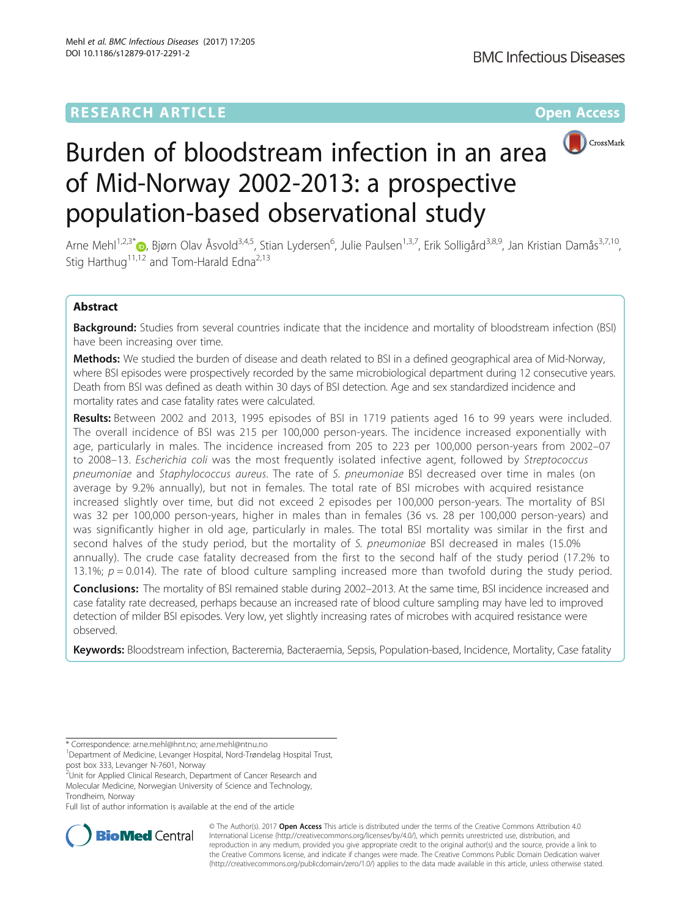

# Burden of bloodstream infection in an area of Mid-Norway 2002-2013: a prospective population-based observational study

Arne Mehl<sup>1,2,3[\\*](http://orcid.org/0000-0001-6711-0333)</sup> , Bjørn Olav Åsvold<sup>3,4,5</sup>, Stian Lydersen<sup>6</sup>, Julie Paulsen<sup>1,3,7</sup>, Erik Solligård<sup>3,8,9</sup>, Jan Kristian Damås<sup>3,7,10</sup>, Stig Harthug<sup>11,12</sup> and Tom-Harald Edna<sup>2,13</sup>

# Abstract

Background: Studies from several countries indicate that the incidence and mortality of bloodstream infection (BSI) have been increasing over time.

Methods: We studied the burden of disease and death related to BSI in a defined geographical area of Mid-Norway, where BSI episodes were prospectively recorded by the same microbiological department during 12 consecutive years. Death from BSI was defined as death within 30 days of BSI detection. Age and sex standardized incidence and mortality rates and case fatality rates were calculated.

Results: Between 2002 and 2013, 1995 episodes of BSI in 1719 patients aged 16 to 99 years were included. The overall incidence of BSI was 215 per 100,000 person-years. The incidence increased exponentially with age, particularly in males. The incidence increased from 205 to 223 per 100,000 person-years from 2002–07 to 2008–13. Escherichia coli was the most frequently isolated infective agent, followed by Streptococcus pneumoniae and Staphylococcus aureus. The rate of S. pneumoniae BSI decreased over time in males (on average by 9.2% annually), but not in females. The total rate of BSI microbes with acquired resistance increased slightly over time, but did not exceed 2 episodes per 100,000 person-years. The mortality of BSI was 32 per 100,000 person-years, higher in males than in females (36 vs. 28 per 100,000 person-years) and was significantly higher in old age, particularly in males. The total BSI mortality was similar in the first and second halves of the study period, but the mortality of S. pneumoniae BSI decreased in males (15.0% annually). The crude case fatality decreased from the first to the second half of the study period (17.2% to 13.1%;  $p = 0.014$ ). The rate of blood culture sampling increased more than twofold during the study period.

Conclusions: The mortality of BSI remained stable during 2002–2013. At the same time, BSI incidence increased and case fatality rate decreased, perhaps because an increased rate of blood culture sampling may have led to improved detection of milder BSI episodes. Very low, yet slightly increasing rates of microbes with acquired resistance were observed.

Keywords: Bloodstream infection, Bacteremia, Bacteraemia, Sepsis, Population-based, Incidence, Mortality, Case fatality

\* Correspondence: [arne.mehl@hnt.no](mailto:arne.mehl@hnt.no); [arne.mehl@ntnu.no](mailto:arne.mehl@ntnu.no) <sup>1</sup>

Department of Medicine, Levanger Hospital, Nord-Trøndelag Hospital Trust,

post box 333, Levanger N-7601, Norway

<sup>2</sup> Unit for Applied Clinical Research, Department of Cancer Research and Molecular Medicine, Norwegian University of Science and Technology, Trondheim, Norway

Full list of author information is available at the end of the article



© The Author(s). 2017 **Open Access** This article is distributed under the terms of the Creative Commons Attribution 4.0 International License [\(http://creativecommons.org/licenses/by/4.0/](http://creativecommons.org/licenses/by/4.0/)), which permits unrestricted use, distribution, and reproduction in any medium, provided you give appropriate credit to the original author(s) and the source, provide a link to the Creative Commons license, and indicate if changes were made. The Creative Commons Public Domain Dedication waiver [\(http://creativecommons.org/publicdomain/zero/1.0/](http://creativecommons.org/publicdomain/zero/1.0/)) applies to the data made available in this article, unless otherwise stated.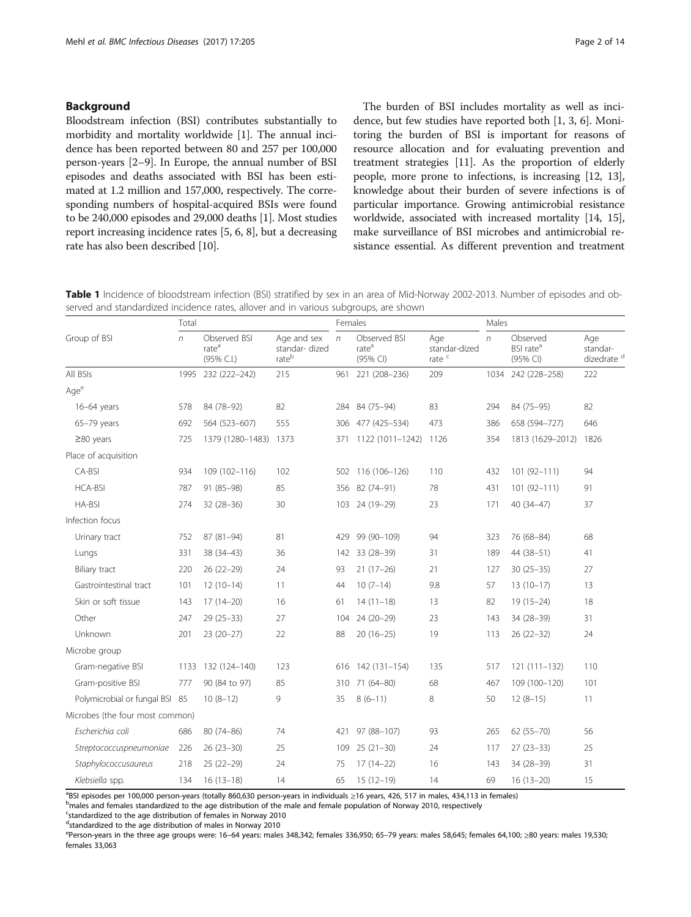## <span id="page-1-0"></span>Background

Bloodstream infection (BSI) contributes substantially to morbidity and mortality worldwide [[1](#page-12-0)]. The annual incidence has been reported between 80 and 257 per 100,000 person-years [[2](#page-12-0)–[9](#page-12-0)]. In Europe, the annual number of BSI episodes and deaths associated with BSI has been estimated at 1.2 million and 157,000, respectively. The corresponding numbers of hospital-acquired BSIs were found to be 240,000 episodes and 29,000 deaths [[1\]](#page-12-0). Most studies report increasing incidence rates [\[5, 6](#page-12-0), [8](#page-12-0)], but a decreasing rate has also been described [\[10\]](#page-12-0).

The burden of BSI includes mortality as well as incidence, but few studies have reported both [\[1](#page-12-0), [3](#page-12-0), [6](#page-12-0)]. Monitoring the burden of BSI is important for reasons of resource allocation and for evaluating prevention and treatment strategies [\[11\]](#page-12-0). As the proportion of elderly people, more prone to infections, is increasing [[12](#page-12-0), [13](#page-12-0)], knowledge about their burden of severe infections is of particular importance. Growing antimicrobial resistance worldwide, associated with increased mortality [\[14, 15](#page-12-0)], make surveillance of BSI microbes and antimicrobial resistance essential. As different prevention and treatment

Table 1 Incidence of bloodstream infection (BSI) stratified by sex in an area of Mid-Norway 2002-2013. Number of episodes and observed and standardized incidence rates, allover and in various subgroups, are shown

| Group of BSI                    | Total |                                                 |                                        |            | Females                                       |                                           |            | Males                                         |                                           |  |
|---------------------------------|-------|-------------------------------------------------|----------------------------------------|------------|-----------------------------------------------|-------------------------------------------|------------|-----------------------------------------------|-------------------------------------------|--|
|                                 | n     | Observed BSI<br>rate <sup>a</sup><br>(95% C.I.) | Age and sex<br>standar- dized<br>rateb | $\sqrt{n}$ | Observed BSI<br>rate <sup>a</sup><br>(95% CI) | Age<br>standar-dized<br>rate <sup>c</sup> | $\sqrt{n}$ | Observed<br>BSI rate <sup>a</sup><br>(95% CI) | Age<br>standar-<br>dizedrate <sup>d</sup> |  |
| All BSIs                        |       | 1995 232 (222-242)                              | 215                                    | 961        | 221 (208-236)                                 | 209                                       |            | 1034 242 (228-258)                            | 222                                       |  |
| Age <sup>e</sup>                |       |                                                 |                                        |            |                                               |                                           |            |                                               |                                           |  |
| 16-64 years                     | 578   | 84 (78-92)                                      | 82                                     |            | 284 84 (75-94)                                | 83                                        | 294        | 84 (75-95)                                    | 82                                        |  |
| 65-79 years                     | 692   | 564 (523-607)                                   | 555                                    |            | 306 477 (425-534)                             | 473                                       | 386        | 658 (594-727)                                 | 646                                       |  |
| $\geq$ 80 years                 | 725   | 1379 (1280-1483)                                | 1373                                   | 371        | 1122 (1011-1242)                              | 1126                                      | 354        | 1813 (1629-2012) 1826                         |                                           |  |
| Place of acquisition            |       |                                                 |                                        |            |                                               |                                           |            |                                               |                                           |  |
| CA-BSI                          | 934   | 109 (102-116)                                   | 102                                    |            | 502 116 (106-126)                             | 110                                       | 432        | $101(92 - 111)$                               | 94                                        |  |
| <b>HCA-BSI</b>                  | 787   | 91 (85-98)                                      | 85                                     |            | 356 82 (74-91)                                | 78                                        | 431        | 101 (92-111)                                  | 91                                        |  |
| HA-BSI                          | 274   | $32(28-36)$                                     | 30                                     |            | 103 24 (19-29)                                | 23                                        | 171        | 40 (34-47)                                    | 37                                        |  |
| Infection focus                 |       |                                                 |                                        |            |                                               |                                           |            |                                               |                                           |  |
| Urinary tract                   | 752   | 87 (81-94)                                      | 81                                     | 429        | 99 (90-109)                                   | 94                                        | 323        | 76 (68-84)                                    | 68                                        |  |
| Lungs                           | 331   | 38 (34-43)                                      | 36                                     | 142        | 33 (28-39)                                    | 31                                        | 189        | 44 (38-51)                                    | 41                                        |  |
| Biliary tract                   | 220   | $26(22-29)$                                     | 24                                     | 93         | $21(17-26)$                                   | 21                                        | 127        | $30(25-35)$                                   | 27                                        |  |
| Gastrointestinal tract          | 101   | $12(10-14)$                                     | 11                                     | 44         | $10(7-14)$                                    | 9.8                                       | 57         | $13(10-17)$                                   | 13                                        |  |
| Skin or soft tissue             | 143   | $17(14-20)$                                     | 16                                     | 61         | $14(11-18)$                                   | 13                                        | 82         | $19(15-24)$                                   | 18                                        |  |
| Other                           | 247   | $29(25-33)$                                     | 27                                     | 104        | 24 (20-29)                                    | 23                                        | 143        | 34 (28-39)                                    | 31                                        |  |
| Unknown                         | 201   | $23(20-27)$                                     | 22                                     | 88         | $20(16-25)$                                   | 19                                        | 113        | $26(22-32)$                                   | 24                                        |  |
| Microbe group                   |       |                                                 |                                        |            |                                               |                                           |            |                                               |                                           |  |
| Gram-negative BSI               | 1133  | 132 (124-140)                                   | 123                                    | 616        | 142 (131-154)                                 | 135                                       | 517        | $121(111 - 132)$                              | 110                                       |  |
| Gram-positive BSI               | 777   | 90 (84 to 97)                                   | 85                                     | 310        | 71 (64-80)                                    | 68                                        | 467        | 109 (100-120)                                 | 101                                       |  |
| Polymicrobial or fungal BSI 85  |       | $10(8-12)$                                      | 9                                      | 35         | $8(6-11)$                                     | 8                                         | 50         | $12(8-15)$                                    | 11                                        |  |
| Microbes (the four most common) |       |                                                 |                                        |            |                                               |                                           |            |                                               |                                           |  |
| Escherichia coli                | 686   | 80 (74-86)                                      | 74                                     | 421        | 97 (88-107)                                   | 93                                        | 265        | $62(55 - 70)$                                 | 56                                        |  |
| Streptococcuspneumoniae         | 226   | $26(23-30)$                                     | 25                                     | 109        | $25(21-30)$                                   | 24                                        | 117        | $27(23-33)$                                   | 25                                        |  |
| Staphylococcusaureus            | 218   | $25(22-29)$                                     | 24                                     | 75         | $17(14-22)$                                   | 16                                        | 143        | 34 (28-39)                                    | 31                                        |  |
| Klebsiella spp.                 | 134   | $16(13-18)$                                     | 14                                     | 65         | $15(12-19)$                                   | 14                                        | 69         | $16(13-20)$                                   | 15                                        |  |

<sup>a</sup>BSI episodes per 100,000 person-years (totally 860,630 person-years in individuals ≥16 years, 426, 517 in males, 434,113 in females)<br><sup>b</sup>roales and females standardized to the age distribution of the male and female pop

<sup>b</sup>males and females standardized to the age distribution of the male and female population of Norway 2010, respectively

<sup>c</sup>standardized to the age distribution of females in Norway 2010

d standardized to the age distribution of males in Norway 2010

e<br>Person-years in the three age groups were: 16–64 years: males 348,342; females 336,950; 65–79 years: males 58,645; females 64,100; ≥80 years: males 19,530 females 33,063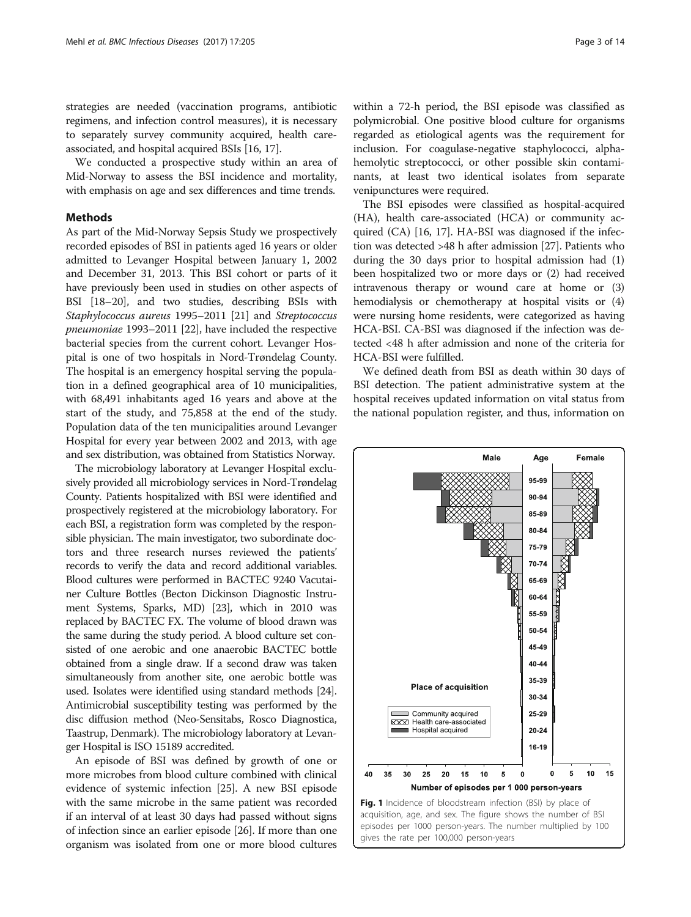<span id="page-2-0"></span>strategies are needed (vaccination programs, antibiotic regimens, and infection control measures), it is necessary to separately survey community acquired, health careassociated, and hospital acquired BSIs [[16](#page-12-0), [17\]](#page-12-0).

We conducted a prospective study within an area of Mid-Norway to assess the BSI incidence and mortality, with emphasis on age and sex differences and time trends.

#### Methods

As part of the Mid-Norway Sepsis Study we prospectively recorded episodes of BSI in patients aged 16 years or older admitted to Levanger Hospital between January 1, 2002 and December 31, 2013. This BSI cohort or parts of it have previously been used in studies on other aspects of BSI [[18](#page-12-0)–[20](#page-12-0)], and two studies, describing BSIs with Staphylococcus aureus 1995–2011 [\[21\]](#page-12-0) and Streptococcus pneumoniae 1993–2011 [\[22\]](#page-12-0), have included the respective bacterial species from the current cohort. Levanger Hospital is one of two hospitals in Nord-Trøndelag County. The hospital is an emergency hospital serving the population in a defined geographical area of 10 municipalities, with 68,491 inhabitants aged 16 years and above at the start of the study, and 75,858 at the end of the study. Population data of the ten municipalities around Levanger Hospital for every year between 2002 and 2013, with age and sex distribution, was obtained from Statistics Norway.

The microbiology laboratory at Levanger Hospital exclusively provided all microbiology services in Nord-Trøndelag County. Patients hospitalized with BSI were identified and prospectively registered at the microbiology laboratory. For each BSI, a registration form was completed by the responsible physician. The main investigator, two subordinate doctors and three research nurses reviewed the patients' records to verify the data and record additional variables. Blood cultures were performed in BACTEC 9240 Vacutainer Culture Bottles (Becton Dickinson Diagnostic Instrument Systems, Sparks, MD) [\[23](#page-12-0)], which in 2010 was replaced by BACTEC FX. The volume of blood drawn was the same during the study period. A blood culture set consisted of one aerobic and one anaerobic BACTEC bottle obtained from a single draw. If a second draw was taken simultaneously from another site, one aerobic bottle was used. Isolates were identified using standard methods [\[24](#page-12-0)]. Antimicrobial susceptibility testing was performed by the disc diffusion method (Neo-Sensitabs, Rosco Diagnostica, Taastrup, Denmark). The microbiology laboratory at Levanger Hospital is ISO 15189 accredited.

An episode of BSI was defined by growth of one or more microbes from blood culture combined with clinical evidence of systemic infection [\[25\]](#page-12-0). A new BSI episode with the same microbe in the same patient was recorded if an interval of at least 30 days had passed without signs of infection since an earlier episode [[26](#page-12-0)]. If more than one organism was isolated from one or more blood cultures

within a 72-h period, the BSI episode was classified as polymicrobial. One positive blood culture for organisms regarded as etiological agents was the requirement for inclusion. For coagulase-negative staphylococci, alphahemolytic streptococci, or other possible skin contaminants, at least two identical isolates from separate venipunctures were required.

The BSI episodes were classified as hospital-acquired (HA), health care-associated (HCA) or community acquired (CA) [\[16](#page-12-0), [17](#page-12-0)]. HA-BSI was diagnosed if the infection was detected >48 h after admission [[27](#page-12-0)]. Patients who during the 30 days prior to hospital admission had (1) been hospitalized two or more days or (2) had received intravenous therapy or wound care at home or (3) hemodialysis or chemotherapy at hospital visits or (4) were nursing home residents, were categorized as having HCA-BSI. CA-BSI was diagnosed if the infection was detected <48 h after admission and none of the criteria for HCA-BSI were fulfilled.

We defined death from BSI as death within 30 days of BSI detection. The patient administrative system at the hospital receives updated information on vital status from the national population register, and thus, information on

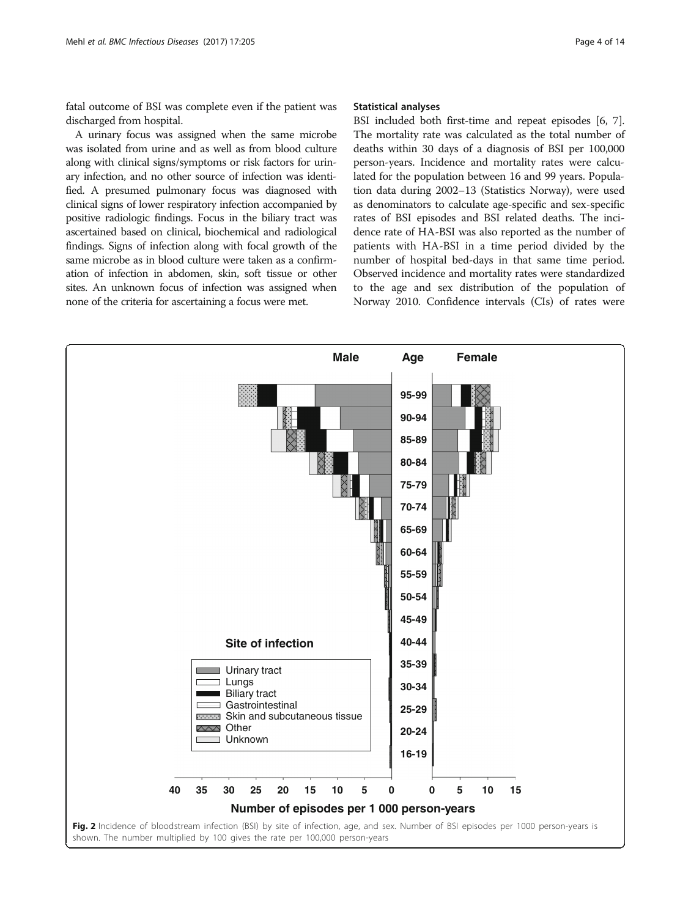<span id="page-3-0"></span>fatal outcome of BSI was complete even if the patient was discharged from hospital.

A urinary focus was assigned when the same microbe was isolated from urine and as well as from blood culture along with clinical signs/symptoms or risk factors for urinary infection, and no other source of infection was identified. A presumed pulmonary focus was diagnosed with clinical signs of lower respiratory infection accompanied by positive radiologic findings. Focus in the biliary tract was ascertained based on clinical, biochemical and radiological findings. Signs of infection along with focal growth of the same microbe as in blood culture were taken as a confirmation of infection in abdomen, skin, soft tissue or other sites. An unknown focus of infection was assigned when none of the criteria for ascertaining a focus were met.

## Statistical analyses

BSI included both first-time and repeat episodes [\[6, 7](#page-12-0)]. The mortality rate was calculated as the total number of deaths within 30 days of a diagnosis of BSI per 100,000 person-years. Incidence and mortality rates were calculated for the population between 16 and 99 years. Population data during 2002–13 (Statistics Norway), were used as denominators to calculate age-specific and sex-specific rates of BSI episodes and BSI related deaths. The incidence rate of HA-BSI was also reported as the number of patients with HA-BSI in a time period divided by the number of hospital bed-days in that same time period. Observed incidence and mortality rates were standardized to the age and sex distribution of the population of Norway 2010. Confidence intervals (CIs) of rates were

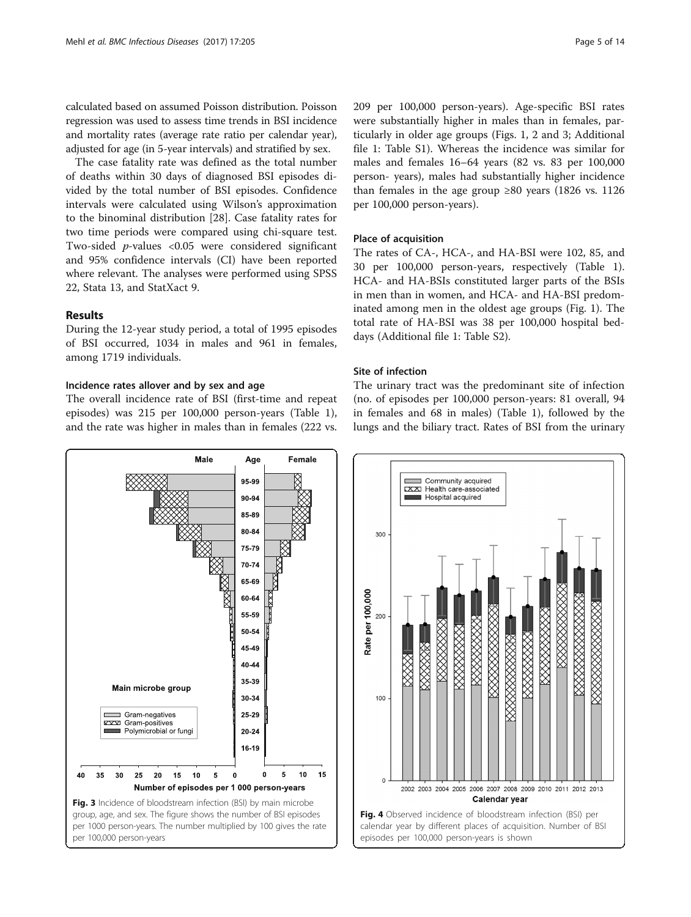<span id="page-4-0"></span>calculated based on assumed Poisson distribution. Poisson regression was used to assess time trends in BSI incidence and mortality rates (average rate ratio per calendar year), adjusted for age (in 5-year intervals) and stratified by sex.

The case fatality rate was defined as the total number of deaths within 30 days of diagnosed BSI episodes divided by the total number of BSI episodes. Confidence intervals were calculated using Wilson's approximation to the binominal distribution [[28\]](#page-12-0). Case fatality rates for two time periods were compared using chi-square test. Two-sided  $p$ -values <0.05 were considered significant and 95% confidence intervals (CI) have been reported where relevant. The analyses were performed using SPSS 22, Stata 13, and StatXact 9.

## Results

During the 12-year study period, a total of 1995 episodes of BSI occurred, 1034 in males and 961 in females, among 1719 individuals.

## Incidence rates allover and by sex and age

The overall incidence rate of BSI (first-time and repeat episodes) was 215 per 100,000 person-years (Table [1](#page-1-0)), and the rate was higher in males than in females (222 vs.

Male Female Age 95-99 90-94 85-89 80-84 75-79 70-74 65-69 60-64 55-59 50-54 45-49 40-44 35-39 Main microbe group 30-34 Gram-negatives 25-29 EXXXI Gram-positive Polymicrobial or fungi  $20 - 24$ 16-19 40 35  $30$ 25 20  $15$  $10$ 5  $\mathbf{0}$  $\mathbf 0$ 5 10 15 Number of episodes per 1 000 person-years Fig. 3 Incidence of bloodstream infection (BSI) by main microbe group, age, and sex. The figure shows the number of BSI episodes per 1000 person-years. The number multiplied by 100 gives the rate per 100,000 person-years

209 per 100,000 person-years). Age-specific BSI rates were substantially higher in males than in females, particularly in older age groups (Figs. [1,](#page-2-0) [2](#page-3-0) and 3; Additional file [1:](#page-11-0) Table S1). Whereas the incidence was similar for males and females 16–64 years (82 vs. 83 per 100,000 person- years), males had substantially higher incidence than females in the age group  $\geq 80$  years (1826 vs. 1126 per 100,000 person-years).

## Place of acquisition

The rates of CA-, HCA-, and HA-BSI were 102, 85, and 30 per 100,000 person-years, respectively (Table [1](#page-1-0)). HCA- and HA-BSIs constituted larger parts of the BSIs in men than in women, and HCA- and HA-BSI predominated among men in the oldest age groups (Fig. [1\)](#page-2-0). The total rate of HA-BSI was 38 per 100,000 hospital beddays (Additional file [1:](#page-11-0) Table S2).

#### Site of infection

The urinary tract was the predominant site of infection (no. of episodes per 100,000 person-years: 81 overall, 94 in females and 68 in males) (Table [1](#page-1-0)), followed by the lungs and the biliary tract. Rates of BSI from the urinary

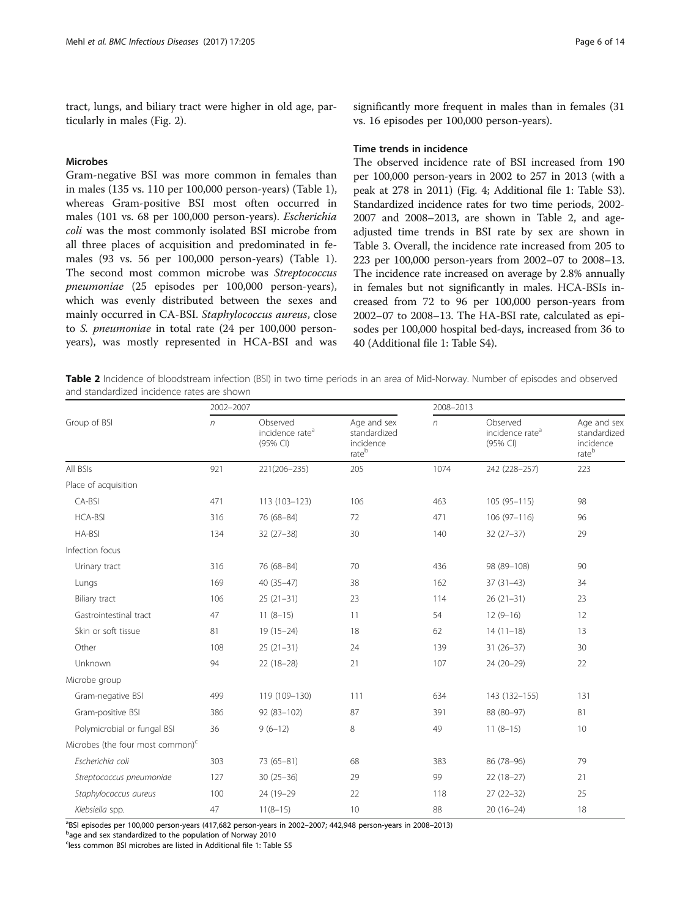tract, lungs, and biliary tract were higher in old age, particularly in males (Fig. [2](#page-3-0)).

#### Microbes

Gram-negative BSI was more common in females than in males (135 vs. 110 per 100,000 person-years) (Table [1](#page-1-0)), whereas Gram-positive BSI most often occurred in males (101 vs. 68 per 100,000 person-years). Escherichia coli was the most commonly isolated BSI microbe from all three places of acquisition and predominated in females (93 vs. 56 per 100,000 person-years) (Table [1](#page-1-0)). The second most common microbe was Streptococcus pneumoniae (25 episodes per 100,000 person-years), which was evenly distributed between the sexes and mainly occurred in CA-BSI. Staphylococcus aureus, close to S. pneumoniae in total rate (24 per 100,000 personyears), was mostly represented in HCA-BSI and was

#### Time trends in incidence

The observed incidence rate of BSI increased from 190 per 100,000 person-years in 2002 to 257 in 2013 (with a peak at 278 in 2011) (Fig. [4](#page-4-0); Additional file [1](#page-11-0): Table S3). Standardized incidence rates for two time periods, 2002- 2007 and 2008–2013, are shown in Table 2, and ageadjusted time trends in BSI rate by sex are shown in Table [3](#page-6-0). Overall, the incidence rate increased from 205 to 223 per 100,000 person-years from 2002–07 to 2008–13. The incidence rate increased on average by 2.8% annually in females but not significantly in males. HCA-BSIs increased from 72 to 96 per 100,000 person-years from 2002–07 to 2008–13. The HA-BSI rate, calculated as episodes per 100,000 hospital bed-days, increased from 36 to 40 (Additional file [1](#page-11-0): Table S4).

Table 2 Incidence of bloodstream infection (BSI) in two time periods in an area of Mid-Norway. Number of episodes and observed and standardized incidence rates are shown

|                                     | 2002-2007  |                                                     |                                                   | 2008-2013  |                                                     |                                                   |  |
|-------------------------------------|------------|-----------------------------------------------------|---------------------------------------------------|------------|-----------------------------------------------------|---------------------------------------------------|--|
| Group of BSI                        | $\sqrt{n}$ | Observed<br>incidence rate <sup>a</sup><br>(95% CI) | Age and sex<br>standardized<br>incidence<br>rateb | $\sqrt{n}$ | Observed<br>incidence rate <sup>a</sup><br>(95% CI) | Age and sex<br>standardized<br>incidence<br>rateb |  |
| All BSIs                            | 921        | 221(206-235)                                        | 205                                               | 1074       | 242 (228-257)                                       | 223                                               |  |
| Place of acquisition                |            |                                                     |                                                   |            |                                                     |                                                   |  |
| CA-BSI                              | 471        | 113 (103-123)                                       | 106                                               | 463        | $105(95 - 115)$                                     | 98                                                |  |
| <b>HCA-BSI</b>                      | 316        | 76 (68-84)                                          | 72                                                | 471        | $106(97-116)$                                       | 96                                                |  |
| HA-BSI                              | 134        | $32(27-38)$                                         | 30                                                | 140        | $32(27-37)$                                         | 29                                                |  |
| Infection focus                     |            |                                                     |                                                   |            |                                                     |                                                   |  |
| Urinary tract                       | 316        | 76 (68-84)                                          | 70                                                | 436        | 98 (89-108)                                         | 90                                                |  |
| Lungs                               | 169        | $40(35-47)$                                         | 38                                                | 162        | $37(31-43)$                                         | 34                                                |  |
| Biliary tract                       | 106        | $25(21-31)$                                         | 23                                                | 114        | $26(21-31)$                                         | 23                                                |  |
| Gastrointestinal tract              | 47         | $11(8-15)$                                          | 11                                                | 54         | $12(9-16)$                                          | 12                                                |  |
| Skin or soft tissue                 | 81         | $19(15-24)$                                         | 18                                                | 62         | $14(11-18)$                                         | 13                                                |  |
| Other                               | 108        | $25(21-31)$                                         | 24                                                | 139        | $31(26-37)$                                         | 30                                                |  |
| Unknown                             | 94         | $22(18-28)$                                         | 21                                                | 107        | 24 (20-29)                                          | 22                                                |  |
| Microbe group                       |            |                                                     |                                                   |            |                                                     |                                                   |  |
| Gram-negative BSI                   | 499        | 119 (109-130)                                       | 111                                               | 634        | 143 (132-155)                                       | 131                                               |  |
| Gram-positive BSI                   | 386        | 92 (83-102)                                         | 87                                                | 391        | 88 (80-97)                                          | 81                                                |  |
| Polymicrobial or fungal BSI         | 36         | $9(6-12)$                                           | 8                                                 | 49         | $11(8-15)$                                          | 10                                                |  |
| Microbes (the four most common) $c$ |            |                                                     |                                                   |            |                                                     |                                                   |  |
| Escherichia coli                    | 303        | 73 (65-81)                                          | 68                                                | 383        | 86 (78-96)                                          | 79                                                |  |
| Streptococcus pneumoniae            | 127        | $30(25 - 36)$                                       | 29                                                | 99         | $22(18-27)$                                         | 21                                                |  |
| Staphylococcus aureus               | 100        | 24 (19-29                                           | 22                                                | 118        | $27(22-32)$                                         | 25                                                |  |
| Klebsiella spp.                     | 47         | $11(8-15)$                                          | 10                                                | 88         | $20(16-24)$                                         | 18                                                |  |

apsil episodes per 100,000 person-years (417,682 person-years in 2002–2007; 442,948 person-years in 2008–2013)<br>Page and sex standardized to the nopulation of Nonuau 2010

b<sub>age and sex</sub> standardized to the population of Norway 2010

<sup>c</sup>less common BSI microbes are listed in Additional file [1](#page-11-0): Table S5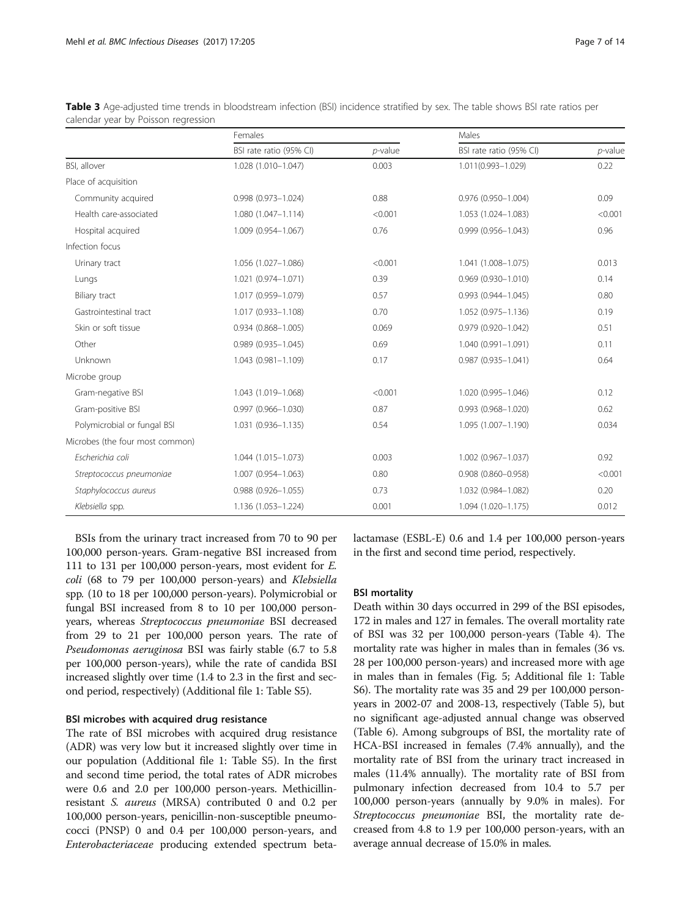|                                 | Females                   |            | Males                     |            |  |
|---------------------------------|---------------------------|------------|---------------------------|------------|--|
|                                 | BSI rate ratio (95% CI)   | $p$ -value | BSI rate ratio (95% CI)   | $p$ -value |  |
| BSI, allover                    | 1.028 (1.010-1.047)       | 0.003      | 1.011(0.993-1.029)        | 0.22       |  |
| Place of acquisition            |                           |            |                           |            |  |
| Community acquired              | 0.998 (0.973-1.024)       | 0.88       | 0.976 (0.950-1.004)       | 0.09       |  |
| Health care-associated          | 1.080 (1.047-1.114)       | < 0.001    | 1.053 (1.024-1.083)       | < 0.001    |  |
| Hospital acquired               | 1.009 (0.954-1.067)       | 0.76       | 0.999 (0.956-1.043)       | 0.96       |  |
| Infection focus                 |                           |            |                           |            |  |
| Urinary tract                   | 1.056 (1.027-1.086)       | < 0.001    | 1.041 (1.008-1.075)       | 0.013      |  |
| Lungs                           | 1.021 (0.974-1.071)       | 0.39       | $0.969(0.930 - 1.010)$    | 0.14       |  |
| Biliary tract                   | 1.017 (0.959-1.079)       | 0.57       | $0.993(0.944 - 1.045)$    | 0.80       |  |
| Gastrointestinal tract          | 1.017 (0.933-1.108)       | 0.70       | 1.052 (0.975-1.136)       | 0.19       |  |
| Skin or soft tissue             | $0.934(0.868 - 1.005)$    | 0.069      | $0.979(0.920 - 1.042)$    | 0.51       |  |
| Other                           | 0.989 (0.935-1.045)       | 0.69       | 1.040 (0.991-1.091)       | 0.11       |  |
| Unknown                         | 1.043 (0.981-1.109)       | 0.17       | $0.987(0.935 - 1.041)$    | 0.64       |  |
| Microbe group                   |                           |            |                           |            |  |
| Gram-negative BSI               | 1.043 (1.019-1.068)       | < 0.001    | 1.020 (0.995-1.046)       | 0.12       |  |
| Gram-positive BSI               | $0.997$ $(0.966 - 1.030)$ | 0.87       | $0.993(0.968 - 1.020)$    | 0.62       |  |
| Polymicrobial or fungal BSI     | 1.031 (0.936-1.135)       | 0.54       | 1.095 (1.007-1.190)       | 0.034      |  |
| Microbes (the four most common) |                           |            |                           |            |  |
| Escherichia coli                | 1.044 (1.015-1.073)       | 0.003      | 1.002 (0.967-1.037)       | 0.92       |  |
| Streptococcus pneumoniae        | 1.007 (0.954-1.063)       | 0.80       | $0.908$ $(0.860 - 0.958)$ | < 0.001    |  |
| Staphylococcus aureus           | 0.988 (0.926-1.055)       | 0.73       | 1.032 (0.984-1.082)       | 0.20       |  |
| Klebsiella spp.                 | 1.136 (1.053-1.224)       | 0.001      | 1.094 (1.020-1.175)       | 0.012      |  |

<span id="page-6-0"></span>Table 3 Age-adjusted time trends in bloodstream infection (BSI) incidence stratified by sex. The table shows BSI rate ratios per calendar year by Poisson regression

BSIs from the urinary tract increased from 70 to 90 per 100,000 person-years. Gram-negative BSI increased from 111 to 131 per 100,000 person-years, most evident for E. coli (68 to 79 per 100,000 person-years) and Klebsiella spp. (10 to 18 per 100,000 person-years). Polymicrobial or fungal BSI increased from 8 to 10 per 100,000 personyears, whereas Streptococcus pneumoniae BSI decreased from 29 to 21 per 100,000 person years. The rate of Pseudomonas aeruginosa BSI was fairly stable (6.7 to 5.8 per 100,000 person-years), while the rate of candida BSI increased slightly over time (1.4 to 2.3 in the first and second period, respectively) (Additional file [1:](#page-11-0) Table S5).

#### BSI microbes with acquired drug resistance

The rate of BSI microbes with acquired drug resistance (ADR) was very low but it increased slightly over time in our population (Additional file [1](#page-11-0): Table S5). In the first and second time period, the total rates of ADR microbes were 0.6 and 2.0 per 100,000 person-years. Methicillinresistant S. aureus (MRSA) contributed 0 and 0.2 per 100,000 person-years, penicillin-non-susceptible pneumococci (PNSP) 0 and 0.4 per 100,000 person-years, and Enterobacteriaceae producing extended spectrum betalactamase (ESBL-E) 0.6 and 1.4 per 100,000 person-years in the first and second time period, respectively.

## BSI mortality

Death within 30 days occurred in 299 of the BSI episodes, 172 in males and 127 in females. The overall mortality rate of BSI was 32 per 100,000 person-years (Table [4\)](#page-7-0). The mortality rate was higher in males than in females (36 vs. 28 per 100,000 person-years) and increased more with age in males than in females (Fig. [5](#page-8-0); Additional file [1:](#page-11-0) Table S6). The mortality rate was 35 and 29 per 100,000 personyears in 2002-07 and 2008-13, respectively (Table [5](#page-9-0)), but no significant age-adjusted annual change was observed (Table [6](#page-10-0)). Among subgroups of BSI, the mortality rate of HCA-BSI increased in females (7.4% annually), and the mortality rate of BSI from the urinary tract increased in males (11.4% annually). The mortality rate of BSI from pulmonary infection decreased from 10.4 to 5.7 per 100,000 person-years (annually by 9.0% in males). For Streptococcus pneumoniae BSI, the mortality rate decreased from 4.8 to 1.9 per 100,000 person-years, with an average annual decrease of 15.0% in males.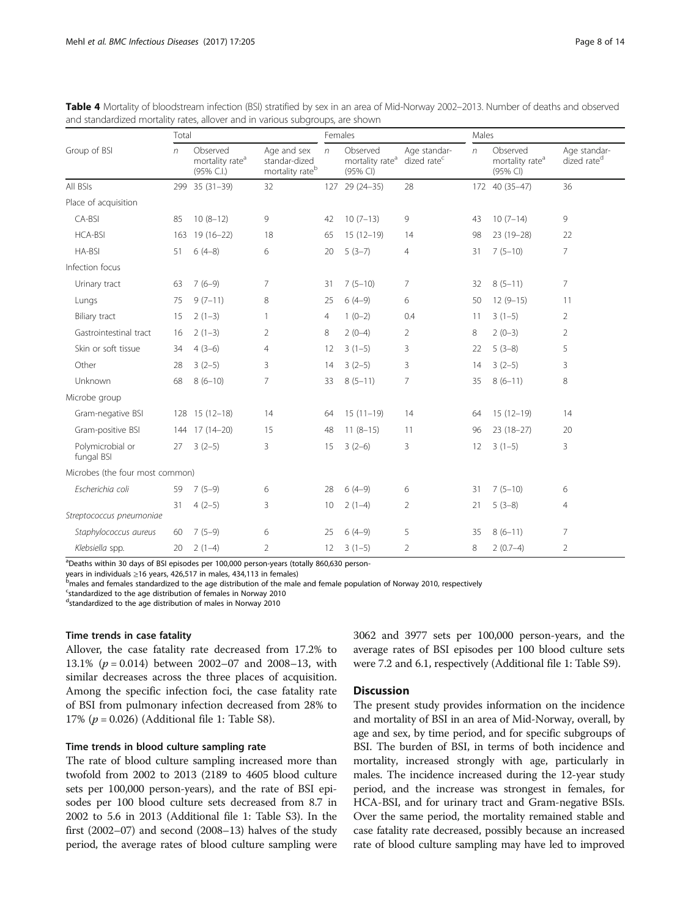|                                 | Total |                                                       |                                                             |                | Females                                             |                                         |    | Males                                               |                                         |  |
|---------------------------------|-------|-------------------------------------------------------|-------------------------------------------------------------|----------------|-----------------------------------------------------|-----------------------------------------|----|-----------------------------------------------------|-----------------------------------------|--|
| Group of BSI                    | n     | Observed<br>mortality rate <sup>a</sup><br>(95% C.I.) | Age and sex<br>standar-dized<br>mortality rate <sup>b</sup> | $\sqrt{n}$     | Observed<br>mortality rate <sup>a</sup><br>(95% CI) | Age standar-<br>dized rate <sup>c</sup> | n  | Observed<br>mortality rate <sup>a</sup><br>(95% CI) | Age standar-<br>dized rate <sup>d</sup> |  |
| All BSIs                        |       | 299 35 (31-39)                                        | 32                                                          |                | 127 29 (24-35)                                      | 28                                      |    | 172 40 (35-47)                                      | 36                                      |  |
| Place of acquisition            |       |                                                       |                                                             |                |                                                     |                                         |    |                                                     |                                         |  |
| CA-BSI                          | 85    | $10(8-12)$                                            | 9                                                           | 42             | $10(7-13)$                                          | 9                                       | 43 | $10(7-14)$                                          | 9                                       |  |
| <b>HCA-BSI</b>                  | 163   | $19(16-22)$                                           | 18                                                          | 65             | $15(12-19)$                                         | 14                                      | 98 | 23 (19-28)                                          | 22                                      |  |
| HA-BSI                          | 51    | $6(4-8)$                                              | 6                                                           | 20             | $5(3-7)$                                            | 4                                       | 31 | $7(5-10)$                                           | $\overline{7}$                          |  |
| Infection focus                 |       |                                                       |                                                             |                |                                                     |                                         |    |                                                     |                                         |  |
| Urinary tract                   | 63    | $7(6-9)$                                              | 7                                                           | 31             | $7(5-10)$                                           | 7                                       | 32 | $8(5-11)$                                           | 7                                       |  |
| Lungs                           | 75    | $9(7-11)$                                             | 8                                                           | 25             | $6(4-9)$                                            | 6                                       | 50 | $12(9-15)$                                          | 11                                      |  |
| Biliary tract                   | 15    | $2(1-3)$                                              | 1                                                           | $\overline{4}$ | $1(0-2)$                                            | 0.4                                     | 11 | $3(1-5)$                                            | 2                                       |  |
| Gastrointestinal tract          | 16    | $2(1-3)$                                              | $\overline{2}$                                              | 8              | $2(0-4)$                                            | $\overline{2}$                          | 8  | $2(0-3)$                                            | $\overline{2}$                          |  |
| Skin or soft tissue             | 34    | $4(3-6)$                                              | $\overline{4}$                                              | 12             | $3(1-5)$                                            | 3                                       | 22 | $5(3-8)$                                            | 5                                       |  |
| Other                           | 28    | $3(2-5)$                                              | 3                                                           | 14             | $3(2-5)$                                            | 3                                       | 14 | $3(2-5)$                                            | 3                                       |  |
| Unknown                         | 68    | $8(6-10)$                                             | $\overline{7}$                                              | 33             | $8(5-11)$                                           | $\overline{7}$                          | 35 | $8(6-11)$                                           | 8                                       |  |
| Microbe group                   |       |                                                       |                                                             |                |                                                     |                                         |    |                                                     |                                         |  |
| Gram-negative BSI               |       | 128 15 (12-18)                                        | 14                                                          | 64             | $15(11-19)$                                         | 14                                      | 64 | $15(12-19)$                                         | 14                                      |  |
| Gram-positive BSI               |       | 144 17 (14-20)                                        | 15                                                          | 48             | $11(8-15)$                                          | 11                                      | 96 | $23(18-27)$                                         | 20                                      |  |
| Polymicrobial or<br>fungal BSI  | 27    | $3(2-5)$                                              | 3                                                           | 15             | $3(2-6)$                                            | 3                                       | 12 | $3(1-5)$                                            | 3                                       |  |
| Microbes (the four most common) |       |                                                       |                                                             |                |                                                     |                                         |    |                                                     |                                         |  |
| Escherichia coli                | 59    | $7(5-9)$                                              | 6                                                           | 28             | $6(4-9)$                                            | 6                                       | 31 | $7(5-10)$                                           | 6                                       |  |
| Streptococcus pneumoniae        | 31    | $4(2-5)$                                              | 3                                                           | 10             | $2(1-4)$                                            | $\overline{2}$                          | 21 | $5(3-8)$                                            | 4                                       |  |
| Staphylococcus aureus           | 60    | $7(5-9)$                                              | 6                                                           | 25             | $6(4-9)$                                            | 5                                       | 35 | $8(6-11)$                                           | 7                                       |  |
| Klebsiella spp.                 | 20    | $2(1-4)$                                              | $\overline{2}$                                              | 12             | $3(1-5)$                                            | $\overline{2}$                          | 8  | $2(0.7-4)$                                          | $\overline{2}$                          |  |

<span id="page-7-0"></span>Table 4 Mortality of bloodstream infection (BSI) stratified by sex in an area of Mid-Norway 2002–2013. Number of deaths and observed and standardized mortality rates, allover and in various subgroups, are shown

<sup>a</sup>Deaths within 30 days of BSI episodes per 100,000 person-years (totally 860,630 person-

years in individuals <sup>≥</sup>16 years, 426,517 in males, 434,113 in females) <sup>b</sup>

<sup>b</sup>males and females standardized to the age distribution of the male and female population of Norway 2010, respectively

<sup>c</sup>standardized to the age distribution of females in Norway 2010

d standardized to the age distribution of males in Norway 2010

## Time trends in case fatality

Allover, the case fatality rate decreased from 17.2% to 13.1% ( $p = 0.014$ ) between 2002–07 and 2008–13, with similar decreases across the three places of acquisition. Among the specific infection foci, the case fatality rate of BSI from pulmonary infection decreased from 28% to 17% ( $p = 0.026$ ) (Additional file [1:](#page-11-0) Table S8).

## Time trends in blood culture sampling rate

The rate of blood culture sampling increased more than twofold from 2002 to 2013 (2189 to 4605 blood culture sets per 100,000 person-years), and the rate of BSI episodes per 100 blood culture sets decreased from 8.7 in 2002 to 5.6 in 2013 (Additional file [1](#page-11-0): Table S3). In the first (2002–07) and second (2008–13) halves of the study period, the average rates of blood culture sampling were 3062 and 3977 sets per 100,000 person-years, and the average rates of BSI episodes per 100 blood culture sets were 7.2 and 6.1, respectively (Additional file [1](#page-11-0): Table S9).

## **Discussion**

The present study provides information on the incidence and mortality of BSI in an area of Mid-Norway, overall, by age and sex, by time period, and for specific subgroups of BSI. The burden of BSI, in terms of both incidence and mortality, increased strongly with age, particularly in males. The incidence increased during the 12-year study period, and the increase was strongest in females, for HCA-BSI, and for urinary tract and Gram-negative BSIs. Over the same period, the mortality remained stable and case fatality rate decreased, possibly because an increased rate of blood culture sampling may have led to improved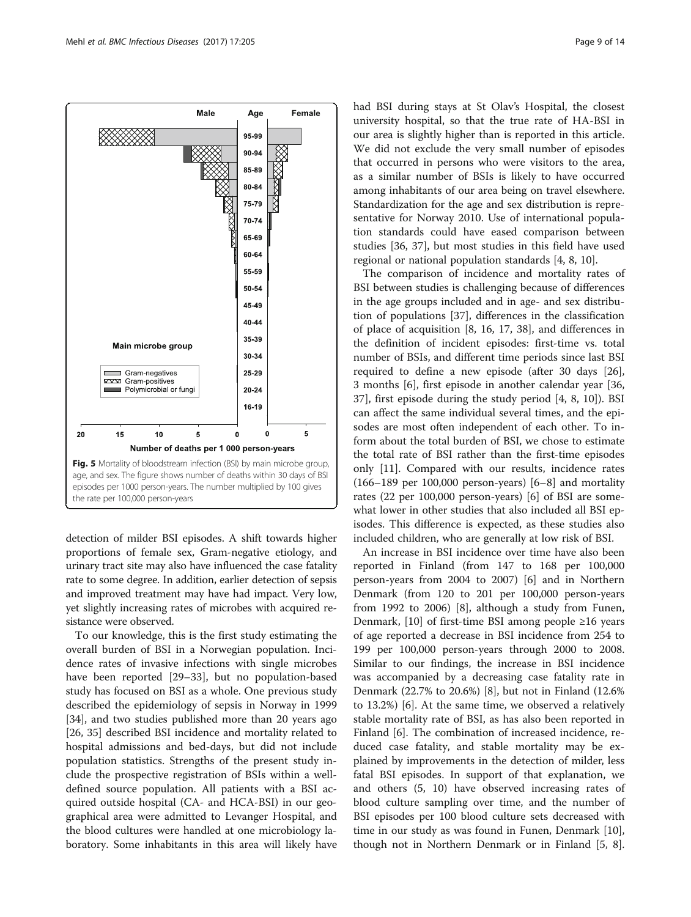<span id="page-8-0"></span>

detection of milder BSI episodes. A shift towards higher proportions of female sex, Gram-negative etiology, and urinary tract site may also have influenced the case fatality rate to some degree. In addition, earlier detection of sepsis and improved treatment may have had impact. Very low, yet slightly increasing rates of microbes with acquired resistance were observed.

To our knowledge, this is the first study estimating the overall burden of BSI in a Norwegian population. Incidence rates of invasive infections with single microbes have been reported [[29](#page-12-0)–[33](#page-12-0)], but no population-based study has focused on BSI as a whole. One previous study described the epidemiology of sepsis in Norway in 1999 [[34\]](#page-12-0), and two studies published more than 20 years ago [[26, 35\]](#page-12-0) described BSI incidence and mortality related to hospital admissions and bed-days, but did not include population statistics. Strengths of the present study include the prospective registration of BSIs within a welldefined source population. All patients with a BSI acquired outside hospital (CA- and HCA-BSI) in our geographical area were admitted to Levanger Hospital, and the blood cultures were handled at one microbiology laboratory. Some inhabitants in this area will likely have had BSI during stays at St Olav's Hospital, the closest university hospital, so that the true rate of HA-BSI in our area is slightly higher than is reported in this article. We did not exclude the very small number of episodes that occurred in persons who were visitors to the area, as a similar number of BSIs is likely to have occurred among inhabitants of our area being on travel elsewhere. Standardization for the age and sex distribution is representative for Norway 2010. Use of international population standards could have eased comparison between studies [[36, 37](#page-12-0)], but most studies in this field have used regional or national population standards [\[4](#page-12-0), [8](#page-12-0), [10](#page-12-0)].

The comparison of incidence and mortality rates of BSI between studies is challenging because of differences in the age groups included and in age- and sex distribution of populations [\[37](#page-12-0)], differences in the classification of place of acquisition [[8, 16](#page-12-0), [17, 38](#page-12-0)], and differences in the definition of incident episodes: first-time vs. total number of BSIs, and different time periods since last BSI required to define a new episode (after 30 days [\[26](#page-12-0)], 3 months [[6\]](#page-12-0), first episode in another calendar year [[36](#page-12-0), [37\]](#page-12-0), first episode during the study period [[4, 8](#page-12-0), [10\]](#page-12-0)). BSI can affect the same individual several times, and the episodes are most often independent of each other. To inform about the total burden of BSI, we chose to estimate the total rate of BSI rather than the first-time episodes only [[11](#page-12-0)]. Compared with our results, incidence rates  $(166–189$  $(166–189$  $(166–189$  per  $100,000$  person-years)  $[6–8]$  $[6–8]$  and mortality rates (22 per 100,000 person-years) [\[6](#page-12-0)] of BSI are somewhat lower in other studies that also included all BSI episodes. This difference is expected, as these studies also included children, who are generally at low risk of BSI.

An increase in BSI incidence over time have also been reported in Finland (from 147 to 168 per 100,000 person-years from 2004 to 2007) [[6\]](#page-12-0) and in Northern Denmark (from 120 to 201 per 100,000 person-years from 1992 to 2006) [\[8](#page-12-0)], although a study from Funen, Denmark,  $[10]$  $[10]$  of first-time BSI among people ≥16 years of age reported a decrease in BSI incidence from 254 to 199 per 100,000 person-years through 2000 to 2008. Similar to our findings, the increase in BSI incidence was accompanied by a decreasing case fatality rate in Denmark (22.7% to 20.6%) [\[8](#page-12-0)], but not in Finland (12.6% to 13.2%) [[6](#page-12-0)]. At the same time, we observed a relatively stable mortality rate of BSI, as has also been reported in Finland [[6\]](#page-12-0). The combination of increased incidence, reduced case fatality, and stable mortality may be explained by improvements in the detection of milder, less fatal BSI episodes. In support of that explanation, we and others (5, 10) have observed increasing rates of blood culture sampling over time, and the number of BSI episodes per 100 blood culture sets decreased with time in our study as was found in Funen, Denmark [\[10](#page-12-0)], though not in Northern Denmark or in Finland [[5, 8](#page-12-0)].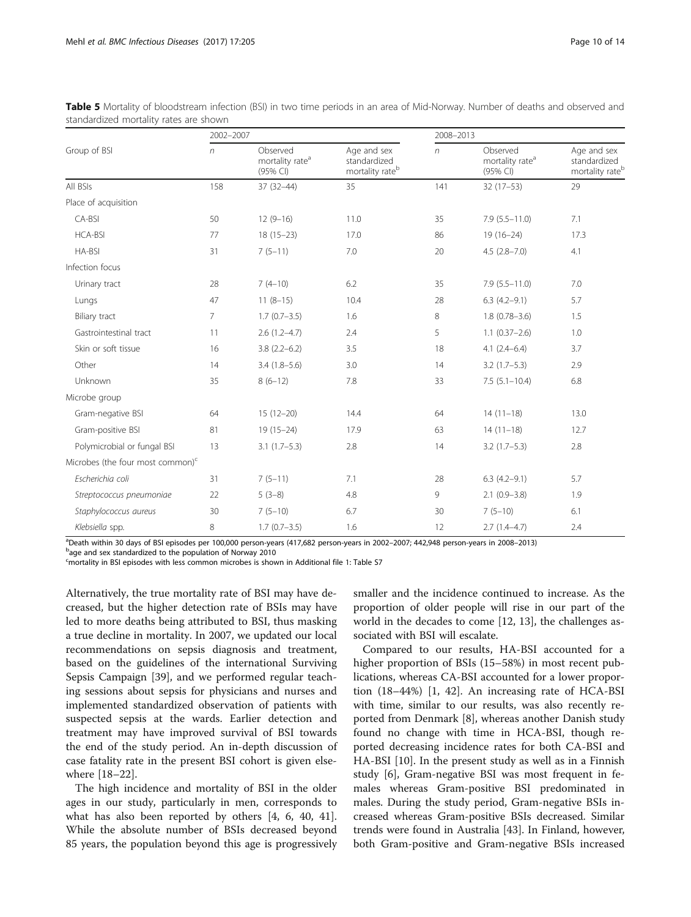|                                     | 2002-2007      |                                                     |                                                            | 2008-2013  |                                                     |                                                            |  |
|-------------------------------------|----------------|-----------------------------------------------------|------------------------------------------------------------|------------|-----------------------------------------------------|------------------------------------------------------------|--|
| Group of BSI                        | $\sqrt{n}$     | Observed<br>mortality rate <sup>a</sup><br>(95% CI) | Age and sex<br>standardized<br>mortality rate <sup>b</sup> | $\sqrt{n}$ | Observed<br>mortality rate <sup>a</sup><br>(95% CI) | Age and sex<br>standardized<br>mortality rate <sup>b</sup> |  |
| All BSIs                            | 158            | $37(32-44)$                                         | 35                                                         | 141        | $32(17-53)$                                         | 29                                                         |  |
| Place of acquisition                |                |                                                     |                                                            |            |                                                     |                                                            |  |
| CA-BSI                              | 50             | $12(9-16)$                                          | 11.0                                                       | 35         | $7.9(5.5 - 11.0)$                                   | 7.1                                                        |  |
| <b>HCA-BSI</b>                      | 77             | $18(15-23)$                                         | 17.0                                                       | 86         | $19(16-24)$                                         | 17.3                                                       |  |
| HA-BSI                              | 31             | $7(5-11)$                                           | 7.0                                                        | 20         | $4.5(2.8 - 7.0)$                                    | 4.1                                                        |  |
| Infection focus                     |                |                                                     |                                                            |            |                                                     |                                                            |  |
| Urinary tract                       | 28             | $7(4-10)$                                           | 6.2                                                        | 35         | $7.9(5.5 - 11.0)$                                   | 7.0                                                        |  |
| Lungs                               | 47             | $11(8-15)$                                          | 10.4                                                       | 28         | $6.3(4.2-9.1)$                                      | 5.7                                                        |  |
| Biliary tract                       | $\overline{7}$ | $1.7(0.7-3.5)$                                      | 1.6                                                        | 8          | $1.8(0.78 - 3.6)$                                   | 1.5                                                        |  |
| Gastrointestinal tract              | 11             | $2.6(1.2-4.7)$                                      | 2.4                                                        | 5          | $1.1(0.37 - 2.6)$                                   | 1.0                                                        |  |
| Skin or soft tissue                 | 16             | $3.8(2.2-6.2)$                                      | 3.5                                                        | 18         | $4.1(2.4-6.4)$                                      | 3.7                                                        |  |
| Other                               | 14             | $3.4(1.8-5.6)$                                      | 3.0                                                        | 14         | $3.2(1.7-5.3)$                                      | 2.9                                                        |  |
| Unknown                             | 35             | $8(6-12)$                                           | 7.8                                                        | 33         | $7.5(5.1 - 10.4)$                                   | 6.8                                                        |  |
| Microbe group                       |                |                                                     |                                                            |            |                                                     |                                                            |  |
| Gram-negative BSI                   | 64             | $15(12-20)$                                         | 14.4                                                       | 64         | $14(11-18)$                                         | 13.0                                                       |  |
| Gram-positive BSI                   | 81             | $19(15-24)$                                         | 17.9                                                       | 63         | $14(11-18)$                                         | 12.7                                                       |  |
| Polymicrobial or fungal BSI         | 13             | $3.1(1.7-5.3)$                                      | 2.8                                                        | 14         | $3.2(1.7-5.3)$                                      | 2.8                                                        |  |
| Microbes (the four most common) $c$ |                |                                                     |                                                            |            |                                                     |                                                            |  |
| Escherichia coli                    | 31             | $7(5-11)$                                           | 7.1                                                        | 28         | $6.3(4.2-9.1)$                                      | 5.7                                                        |  |
| Streptococcus pneumoniae            | 22             | $5(3-8)$                                            | 4.8                                                        | 9          | $2.1(0.9-3.8)$                                      | 1.9                                                        |  |
| Staphylococcus aureus               | 30             | $7(5-10)$                                           | 6.7                                                        | 30         | $7(5-10)$                                           | 6.1                                                        |  |
| Klebsiella spp.                     | 8              | $1.7(0.7-3.5)$                                      | 1.6                                                        | 12         | $2.7(1.4-4.7)$                                      | 2.4                                                        |  |

<span id="page-9-0"></span>Table 5 Mortality of bloodstream infection (BSI) in two time periods in an area of Mid-Norway. Number of deaths and observed and standardized mortality rates are shown

apeath within 30 days of BSI episodes per 100,000 person-years (417,682 person-years in 2002–2007; 442,948 person-years in 2008–2013)<br>Page and sex standardized to the nonulation of Nonuav 2010

b<sub>age and sex standardized to the population of Norway 2010</sub>

c mortality in BSI episodes with less common microbes is shown in Additional file [1](#page-11-0): Table S7

Alternatively, the true mortality rate of BSI may have decreased, but the higher detection rate of BSIs may have led to more deaths being attributed to BSI, thus masking a true decline in mortality. In 2007, we updated our local recommendations on sepsis diagnosis and treatment, based on the guidelines of the international Surviving Sepsis Campaign [[39](#page-12-0)], and we performed regular teaching sessions about sepsis for physicians and nurses and implemented standardized observation of patients with suspected sepsis at the wards. Earlier detection and treatment may have improved survival of BSI towards the end of the study period. An in-depth discussion of case fatality rate in the present BSI cohort is given elsewhere [\[18](#page-12-0)–[22\]](#page-12-0).

The high incidence and mortality of BSI in the older ages in our study, particularly in men, corresponds to what has also been reported by others [[4, 6](#page-12-0), [40](#page-12-0), [41](#page-12-0)]. While the absolute number of BSIs decreased beyond 85 years, the population beyond this age is progressively

smaller and the incidence continued to increase. As the proportion of older people will rise in our part of the world in the decades to come [[12](#page-12-0), [13](#page-12-0)], the challenges associated with BSI will escalate.

Compared to our results, HA-BSI accounted for a higher proportion of BSIs (15–58%) in most recent publications, whereas CA-BSI accounted for a lower proportion (18–44%) [\[1](#page-12-0), [42\]](#page-12-0). An increasing rate of HCA-BSI with time, similar to our results, was also recently reported from Denmark [[8](#page-12-0)], whereas another Danish study found no change with time in HCA-BSI, though reported decreasing incidence rates for both CA-BSI and HA-BSI [\[10](#page-12-0)]. In the present study as well as in a Finnish study [\[6](#page-12-0)], Gram-negative BSI was most frequent in females whereas Gram-positive BSI predominated in males. During the study period, Gram-negative BSIs increased whereas Gram-positive BSIs decreased. Similar trends were found in Australia [[43\]](#page-12-0). In Finland, however, both Gram-positive and Gram-negative BSIs increased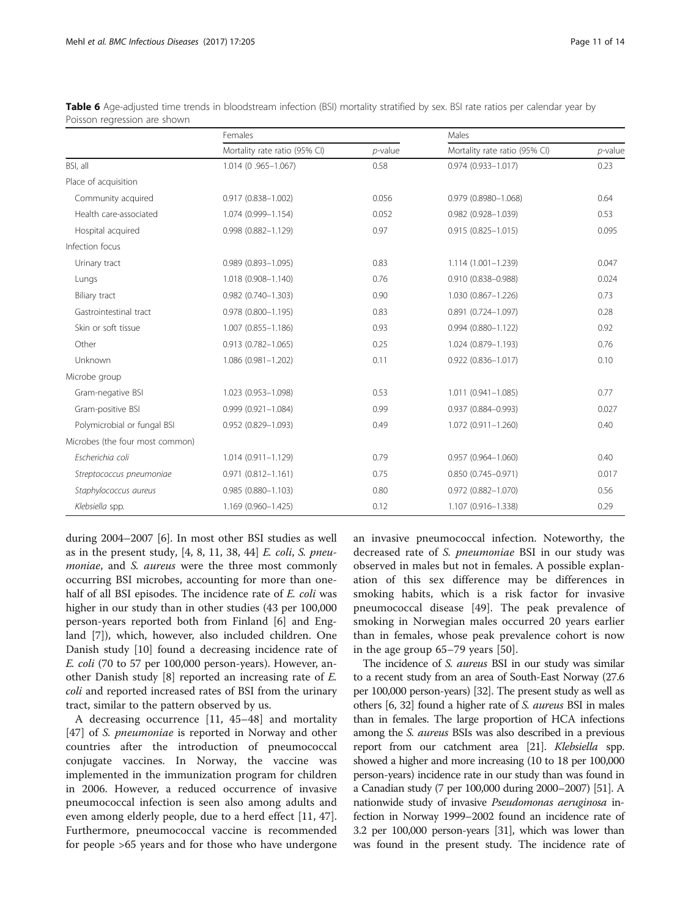<span id="page-10-0"></span>

|                              |         | <b>Table 6</b> Age-adjusted time trends in bloodstream infection (BSI) mortality stratified by sex. BSI rate ratios per calendar year by |
|------------------------------|---------|------------------------------------------------------------------------------------------------------------------------------------------|
| Poisson regression are shown |         |                                                                                                                                          |
|                              | Females | Males                                                                                                                                    |
|                              |         |                                                                                                                                          |

|                                 | Females                       |            | Males                         |            |  |  |
|---------------------------------|-------------------------------|------------|-------------------------------|------------|--|--|
|                                 | Mortality rate ratio (95% CI) | $p$ -value | Mortality rate ratio (95% CI) | $p$ -value |  |  |
| BSI, all                        | 1.014 (0.965-1.067)           | 0.58       | $0.974(0.933 - 1.017)$        | 0.23       |  |  |
| Place of acquisition            |                               |            |                               |            |  |  |
| Community acquired              | $0.917(0.838 - 1.002)$        | 0.056      | 0.979 (0.8980-1.068)          | 0.64       |  |  |
| Health care-associated          | 1.074 (0.999-1.154)           | 0.052      | 0.982 (0.928-1.039)           | 0.53       |  |  |
| Hospital acquired               | $0.998(0.882 - 1.129)$        | 0.97       | $0.915(0.825 - 1.015)$        | 0.095      |  |  |
| Infection focus                 |                               |            |                               |            |  |  |
| Urinary tract                   | $0.989(0.893 - 1.095)$        | 0.83       | 1.114 (1.001-1.239)           | 0.047      |  |  |
| Lungs                           | 1.018 (0.908-1.140)           | 0.76       | 0.910 (0.838-0.988)           | 0.024      |  |  |
| Biliary tract                   | 0.982 (0.740-1.303)           | 0.90       | 1.030 (0.867-1.226)           | 0.73       |  |  |
| Gastrointestinal tract          | $0.978$ $(0.800 - 1.195)$     | 0.83       | $0.891$ $(0.724 - 1.097)$     | 0.28       |  |  |
| Skin or soft tissue             | 1.007 (0.855-1.186)           | 0.93       | $0.994(0.880 - 1.122)$        | 0.92       |  |  |
| Other                           | $0.913(0.782 - 1.065)$        | 0.25       | 1.024 (0.879-1.193)           | 0.76       |  |  |
| Unknown                         | 1.086 (0.981-1.202)           | 0.11       | $0.922$ (0.836-1.017)         | 0.10       |  |  |
| Microbe group                   |                               |            |                               |            |  |  |
| Gram-negative BSI               | 1.023 (0.953-1.098)           | 0.53       | $1.011(0.941 - 1.085)$        | 0.77       |  |  |
| Gram-positive BSI               | $0.999(0.921 - 1.084)$        | 0.99       | 0.937 (0.884-0.993)           | 0.027      |  |  |
| Polymicrobial or fungal BSI     | $0.952(0.829 - 1.093)$        | 0.49       | 1.072 (0.911-1.260)           | 0.40       |  |  |
| Microbes (the four most common) |                               |            |                               |            |  |  |
| Escherichia coli                | $1.014(0.911 - 1.129)$        | 0.79       | $0.957(0.964 - 1.060)$        | 0.40       |  |  |
| Streptococcus pneumoniae        | $0.971(0.812 - 1.161)$        | 0.75       | $0.850(0.745 - 0.971)$        | 0.017      |  |  |
| Staphylococcus aureus           | $0.985(0.880 - 1.103)$        | 0.80       | 0.972 (0.882-1.070)           | 0.56       |  |  |
| Klebsiella spp.                 | 1.169 (0.960-1.425)           | 0.12       | 1.107 (0.916-1.338)           | 0.29       |  |  |

during 2004–2007 [[6\]](#page-12-0). In most other BSI studies as well as in the present study,  $[4, 8, 11, 38, 44]$  $[4, 8, 11, 38, 44]$  $[4, 8, 11, 38, 44]$  $[4, 8, 11, 38, 44]$  $[4, 8, 11, 38, 44]$  E. coli, S. pneumoniae, and S. aureus were the three most commonly occurring BSI microbes, accounting for more than onehalf of all BSI episodes. The incidence rate of E. coli was higher in our study than in other studies (43 per 100,000 person-years reported both from Finland [[6\]](#page-12-0) and England [\[7](#page-12-0)]), which, however, also included children. One Danish study [[10\]](#page-12-0) found a decreasing incidence rate of E. coli (70 to 57 per 100,000 person-years). However, another Danish study [\[8\]](#page-12-0) reported an increasing rate of E. coli and reported increased rates of BSI from the urinary tract, similar to the pattern observed by us.

A decreasing occurrence [\[11](#page-12-0), [45](#page-13-0)–[48\]](#page-13-0) and mortality [[47\]](#page-13-0) of *S. pneumoniae* is reported in Norway and other countries after the introduction of pneumococcal conjugate vaccines. In Norway, the vaccine was implemented in the immunization program for children in 2006. However, a reduced occurrence of invasive pneumococcal infection is seen also among adults and even among elderly people, due to a herd effect [\[11](#page-12-0), [47](#page-13-0)]. Furthermore, pneumococcal vaccine is recommended for people >65 years and for those who have undergone an invasive pneumococcal infection. Noteworthy, the decreased rate of S. pneumoniae BSI in our study was observed in males but not in females. A possible explanation of this sex difference may be differences in smoking habits, which is a risk factor for invasive pneumococcal disease [[49](#page-13-0)]. The peak prevalence of smoking in Norwegian males occurred 20 years earlier than in females, whose peak prevalence cohort is now in the age group 65–79 years [\[50](#page-13-0)].

The incidence of S. aureus BSI in our study was similar to a recent study from an area of South-East Norway (27.6 per 100,000 person-years) [\[32\]](#page-12-0). The present study as well as others [\[6, 32](#page-12-0)] found a higher rate of S. aureus BSI in males than in females. The large proportion of HCA infections among the S. *aureus* BSIs was also described in a previous report from our catchment area [[21](#page-12-0)]. Klebsiella spp. showed a higher and more increasing (10 to 18 per 100,000 person-years) incidence rate in our study than was found in a Canadian study (7 per 100,000 during 2000–2007) [[51\]](#page-13-0). A nationwide study of invasive Pseudomonas aeruginosa infection in Norway 1999–2002 found an incidence rate of 3.2 per 100,000 person-years [\[31\]](#page-12-0), which was lower than was found in the present study. The incidence rate of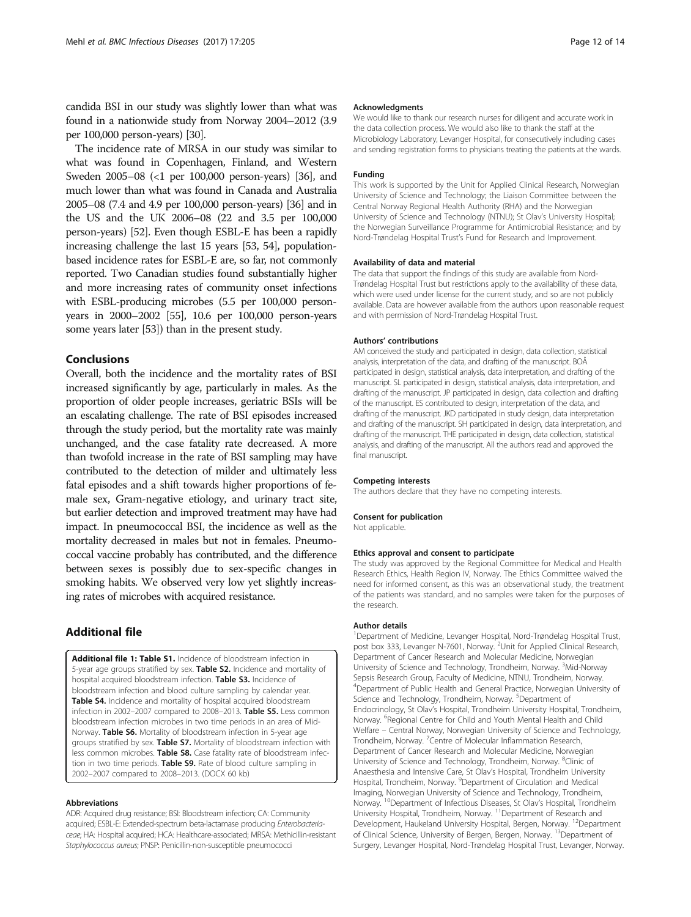<span id="page-11-0"></span>candida BSI in our study was slightly lower than what was found in a nationwide study from Norway 2004–2012 (3.9 per 100,000 person-years) [\[30\]](#page-12-0).

The incidence rate of MRSA in our study was similar to what was found in Copenhagen, Finland, and Western Sweden 2005–08 (<1 per 100,000 person-years) [\[36\]](#page-12-0), and much lower than what was found in Canada and Australia 2005–08 (7.4 and 4.9 per 100,000 person-years) [\[36](#page-12-0)] and in the US and the UK 2006–08 (22 and 3.5 per 100,000 person-years) [\[52\]](#page-13-0). Even though ESBL-E has been a rapidly increasing challenge the last 15 years [[53](#page-13-0), [54](#page-13-0)], populationbased incidence rates for ESBL-E are, so far, not commonly reported. Two Canadian studies found substantially higher and more increasing rates of community onset infections with ESBL-producing microbes (5.5 per 100,000 personyears in 2000–2002 [\[55\]](#page-13-0), 10.6 per 100,000 person-years some years later [\[53\]](#page-13-0)) than in the present study.

### Conclusions

Overall, both the incidence and the mortality rates of BSI increased significantly by age, particularly in males. As the proportion of older people increases, geriatric BSIs will be an escalating challenge. The rate of BSI episodes increased through the study period, but the mortality rate was mainly unchanged, and the case fatality rate decreased. A more than twofold increase in the rate of BSI sampling may have contributed to the detection of milder and ultimately less fatal episodes and a shift towards higher proportions of female sex, Gram-negative etiology, and urinary tract site, but earlier detection and improved treatment may have had impact. In pneumococcal BSI, the incidence as well as the mortality decreased in males but not in females. Pneumococcal vaccine probably has contributed, and the difference between sexes is possibly due to sex-specific changes in smoking habits. We observed very low yet slightly increasing rates of microbes with acquired resistance.

## Additional file

[Additional file 1: Table S1.](dx.doi.org/10.1186/s12879-017-2291-2) Incidence of bloodstream infection in 5-year age groups stratified by sex. Table S2. Incidence and mortality of hospital acquired bloodstream infection. Table S3. Incidence of bloodstream infection and blood culture sampling by calendar year. **Table S4.** Incidence and mortality of hospital acquired bloodstream infection in 2002-2007 compared to 2008-2013. Table S5. Less common bloodstream infection microbes in two time periods in an area of Mid-Norway. Table S6. Mortality of bloodstream infection in 5-year age groups stratified by sex. Table S7. Mortality of bloodstream infection with less common microbes. Table S8. Case fatality rate of bloodstream infection in two time periods. Table S9. Rate of blood culture sampling in 2002–2007 compared to 2008–2013. (DOCX 60 kb)

#### Abbreviations

ADR: Acquired drug resistance; BSI: Bloodstream infection; CA: Community acquired; ESBL-E: Extended-spectrum beta-lactamase producing Enterobacteriaceae; HA: Hospital acquired; HCA: Healthcare-associated; MRSA: Methicillin-resistant Staphylococcus aureus; PNSP: Penicillin-non-susceptible pneumococci

#### Acknowledgments

We would like to thank our research nurses for diligent and accurate work in the data collection process. We would also like to thank the staff at the Microbiology Laboratory, Levanger Hospital, for consecutively including cases and sending registration forms to physicians treating the patients at the wards.

#### Funding

This work is supported by the Unit for Applied Clinical Research, Norwegian University of Science and Technology; the Liaison Committee between the Central Norway Regional Health Authority (RHA) and the Norwegian University of Science and Technology (NTNU); St Olav's University Hospital; the Norwegian Surveillance Programme for Antimicrobial Resistance; and by Nord-Trøndelag Hospital Trust's Fund for Research and Improvement.

#### Availability of data and material

The data that support the findings of this study are available from Nord-Trøndelag Hospital Trust but restrictions apply to the availability of these data, which were used under license for the current study, and so are not publicly available. Data are however available from the authors upon reasonable request and with permission of Nord-Trøndelag Hospital Trust.

#### Authors' contributions

AM conceived the study and participated in design, data collection, statistical analysis, interpretation of the data, and drafting of the manuscript. BOÅ participated in design, statistical analysis, data interpretation, and drafting of the manuscript. SL participated in design, statistical analysis, data interpretation, and drafting of the manuscript. JP participated in design, data collection and drafting of the manuscript. ES contributed to design, interpretation of the data, and drafting of the manuscript. JKD participated in study design, data interpretation and drafting of the manuscript. SH participated in design, data interpretation, and drafting of the manuscript. THE participated in design, data collection, statistical analysis, and drafting of the manuscript. All the authors read and approved the final manuscript.

#### Competing interests

The authors declare that they have no competing interests.

#### Consent for publication

Not applicable.

#### Ethics approval and consent to participate

The study was approved by the Regional Committee for Medical and Health Research Ethics, Health Region IV, Norway. The Ethics Committee waived the need for informed consent, as this was an observational study, the treatment of the patients was standard, and no samples were taken for the purposes of the research.

#### Author details

<sup>1</sup>Department of Medicine, Levanger Hospital, Nord-Trøndelag Hospital Trust, post box 333, Levanger N-7601, Norway. <sup>2</sup>Unit for Applied Clinical Research, Department of Cancer Research and Molecular Medicine, Norwegian University of Science and Technology, Trondheim, Norway. <sup>3</sup>Mid-Norway Sepsis Research Group, Faculty of Medicine, NTNU, Trondheim, Norway. 4 Department of Public Health and General Practice, Norwegian University of Science and Technology, Trondheim, Norway. <sup>5</sup>Department of Endocrinology, St Olav's Hospital, Trondheim University Hospital, Trondheim, Norway. <sup>6</sup>Regional Centre for Child and Youth Mental Health and Child Welfare – Central Norway, Norwegian University of Science and Technology, Trondheim, Norway. <sup>7</sup>Centre of Molecular Inflammation Research, Department of Cancer Research and Molecular Medicine, Norwegian University of Science and Technology, Trondheim, Norway. <sup>8</sup>Clinic of Anaesthesia and Intensive Care, St Olav's Hospital, Trondheim University Hospital, Trondheim, Norway. <sup>9</sup>Department of Circulation and Medical Imaging, Norwegian University of Science and Technology, Trondheim, Norway. <sup>10</sup>Department of Infectious Diseases, St Olav's Hospital, Trondheim University Hospital, Trondheim, Norway. 11Department of Research and Development, Haukeland University Hospital, Bergen, Norway. <sup>12</sup>Department of Clinical Science, University of Bergen, Bergen, Norway. 13Department of Surgery, Levanger Hospital, Nord-Trøndelag Hospital Trust, Levanger, Norway.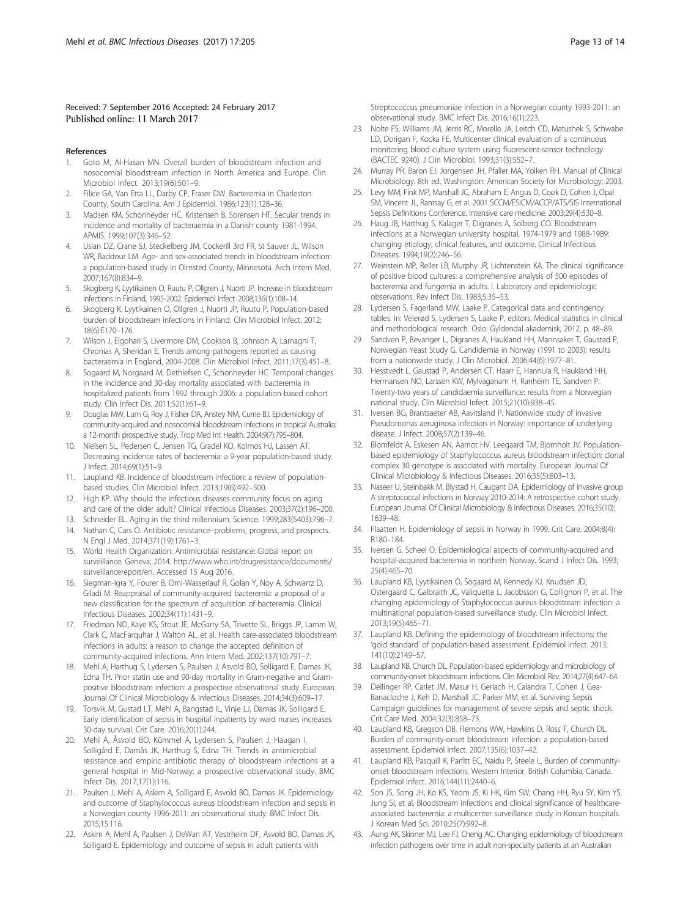#### <span id="page-12-0"></span>Received: 7 September 2016 Accepted: 24 February 2017 Published online: 11 March 2017

#### References

- 1. Goto M, Al-Hasan MN. Overall burden of bloodstream infection and nosocomial bloodstream infection in North America and Europe. Clin Microbiol Infect. 2013;19(6):501–9.
- 2. Filice GA, Van Etta LL, Darby CP, Fraser DW. Bacteremia in Charleston County, South Carolina. Am J Epidemiol. 1986;123(1):128–36.
- 3. Madsen KM, Schonheyder HC, Kristensen B, Sorensen HT. Secular trends in incidence and mortality of bacteraemia in a Danish county 1981-1994. APMIS. 1999;107(3):346–52.
- 4. Uslan DZ, Crane SJ, Steckelberg JM, Cockerill 3rd FR, St Sauver JL, Wilson WR, Baddour LM. Age- and sex-associated trends in bloodstream infection: a population-based study in Olmsted County, Minnesota. Arch Intern Med. 2007;167(8):834–9.
- 5. Skogberg K, Lyytikainen O, Ruutu P, Ollgren J, Nuorti JP. Increase in bloodstream infections in Finland, 1995-2002. Epidemiol Infect. 2008;136(1):108–14.
- 6. Skogberg K, Lyytikainen O, Ollgren J, Nuorti JP, Ruutu P. Population-based burden of bloodstream infections in Finland. Clin Microbiol Infect. 2012; 18(6):E170–176.
- 7. Wilson J, Elgohari S, Livermore DM, Cookson B, Johnson A, Lamagni T, Chronias A, Sheridan E. Trends among pathogens reported as causing bacteraemia in England, 2004-2008. Clin Microbiol Infect. 2011;17(3):451–8.
- Sogaard M, Norgaard M, Dethlefsen C, Schonheyder HC. Temporal changes in the incidence and 30-day mortality associated with bacteremia in hospitalized patients from 1992 through 2006: a population-based cohort study. Clin Infect Dis. 2011;52(1):61–9.
- 9. Douglas MW, Lum G, Roy J, Fisher DA, Anstey NM, Currie BJ. Epidemiology of community-acquired and nosocomial bloodstream infections in tropical Australia: a 12-month prospective study. Trop Med Int Health. 2004;9(7):795–804.
- 10. Nielsen SL, Pedersen C, Jensen TG, Gradel KO, Kolmos HJ, Lassen AT. Decreasing incidence rates of bacteremia: a 9-year population-based study. J Infect. 2014;69(1):51–9.
- 11. Laupland KB. Incidence of bloodstream infection: a review of populationbased studies. Clin Microbiol Infect. 2013;19(6):492–500.
- 12. High KP. Why should the infectious diseases community focus on aging and care of the older adult? Clinical Infectious Diseases. 2003;37(2):196–200.
- 13. Schneider EL. Aging in the third millennium. Science. 1999;283(5403):796–7.
- 14. Nathan C, Cars O. Antibiotic resistance–problems, progress, and prospects. N Engl J Med. 2014;371(19):1761–3.
- 15. World Health Organization: Antimicrobial resistance: Global report on surveillance. Geneva; 2014. [http://www.who.int/drugresistance/documents/](http://www.who.int/drugresistance/documents/surveillancereport/en) [surveillancereport/en.](http://www.who.int/drugresistance/documents/surveillancereport/en) Accessed 15 Aug 2016.
- 16. Siegman-Igra Y, Fourer B, Orni-Wasserlauf R, Golan Y, Noy A, Schwartz D, Giladi M. Reappraisal of community-acquired bacteremia: a proposal of a new classification for the spectrum of acquisition of bacteremia. Clinical Infectious Diseases. 2002;34(11):1431–9.
- 17. Friedman ND, Kaye KS, Stout JE, McGarry SA, Trivette SL, Briggs JP, Lamm W, Clark C, MacFarquhar J, Walton AL, et al. Health care-associated bloodstream infections in adults: a reason to change the accepted definition of community-acquired infections. Ann Intern Med. 2002;137(10):791–7.
- 18. Mehl A, Harthug S, Lydersen S, Paulsen J, Asvold BO, Solligard E, Damas JK, Edna TH. Prior statin use and 90-day mortality in Gram-negative and Grampositive bloodstream infection: a prospective observational study. European Journal Of Clinical Microbiology & Infectious Diseases. 2014;34(3):609–17.
- 19. Torsvik M, Gustad LT, Mehl A, Bangstad IL, Vinje LJ, Damas JK, Solligard E. Early identification of sepsis in hospital inpatients by ward nurses increases 30-day survival. Crit Care. 2016;20(1):244.
- 20. Mehl A, Åsvold BO, Kümmel A, Lydersen S, Paulsen J, Haugan I, Solligård E, Damås JK, Harthug S, Edna TH. Trends in antimicrobial resistance and empiric antibiotic therapy of bloodstream infections at a general hospital in Mid-Norway: a prospective observational study. BMC Infect Dis. 2017;17(1):116.
- 21. Paulsen J, Mehl A, Askim A, Solligard E, Asvold BO, Damas JK. Epidemiology and outcome of Staphylococcus aureus bloodstream infection and sepsis in a Norwegian county 1996-2011: an observational study. BMC Infect Dis. 2015;15:116.
- 22. Askim A, Mehl A, Paulsen J, DeWan AT, Vestrheim DF, Asvold BO, Damas JK, Solligard E. Epidemiology and outcome of sepsis in adult patients with

Streptococcus pneumoniae infection in a Norwegian county 1993-2011: an observational study. BMC Infect Dis. 2016;16(1):223.

- 23. Nolte FS, Williams JM, Jerris RC, Morello JA, Leitch CD, Matushek S, Schwabe LD, Dorigan F, Kocka FE. Multicenter clinical evaluation of a continuous monitoring blood culture system using fluorescent-sensor technology (BACTEC 9240). J Clin Microbiol. 1993;31(3):552–7.
- 24. Murray PR, Baron EJ, Jorgensen JH, Pfaller MA, Yolken RH. Manual of Clinical Microbiology. 8th ed. Washington: American Society for Microbiology; 2003.
- 25. Levy MM, Fink MP, Marshall JC, Abraham E, Angus D, Cook D, Cohen J, Opal SM, Vincent JL, Ramsay G, et al. 2001 SCCM/ESICM/ACCP/ATS/SIS International Sepsis Definitions Conference. Intensive care medicine. 2003;29(4):530–8.
- 26. Haug JB, Harthug S, Kalager T, Digranes A, Solberg CO. Bloodstream infections at a Norwegian university hospital, 1974-1979 and 1988-1989: changing etiology, clinical features, and outcome. Clinical Infectious Diseases. 1994;19(2):246–56.
- 27. Weinstein MP, Reller LB, Murphy JR, Lichtenstein KA. The clinical significance of positive blood cultures: a comprehensive analysis of 500 episodes of bacteremia and fungemia in adults. I. Laboratory and epidemiologic observations. Rev Infect Dis. 1983;5:35–53.
- 28. Lydersen S, Fagerland MW, Laake P. Categorical data and contingency tables. In: Veierød S, Lydersen S, Laake P, editors. Medical statistics in clinical and methodological research. Oslo: Gyldendal akademisk; 2012. p. 48–89.
- 29. Sandven P, Bevanger L, Digranes A, Haukland HH, Mannsaker T, Gaustad P, Norwegian Yeast Study G. Candidemia in Norway (1991 to 2003): results from a nationwide study. J Clin Microbiol. 2006;44(6):1977–81.
- 30. Hesstvedt L, Gaustad P, Andersen CT, Haarr E, Hannula R, Haukland HH, Hermansen NO, Larssen KW, Mylvaganam H, Ranheim TE, Sandven P. Twenty-two years of candidaemia surveillance: results from a Norwegian national study. Clin Microbiol Infect. 2015;21(10):938–45.
- 31. Iversen BG, Brantsaeter AB, Aavitsland P. Nationwide study of invasive Pseudomonas aeruginosa infection in Norway: importance of underlying disease. J Infect. 2008;57(2):139–46.
- 32. Blomfeldt A, Eskesen AN, Aamot HV, Leegaard TM, Bjornholt JV. Populationbased epidemiology of Staphylococcus aureus bloodstream infection: clonal complex 30 genotype is associated with mortality. European Journal Of Clinical Microbiology & Infectious Diseases. 2016;35(5):803–13.
- 33. Naseer U, Steinbakk M, Blystad H, Caugant DA. Epidemiology of invasive group A streptococcal infections in Norway 2010-2014: A retrospective cohort study. European Journal Of Clinical Microbiology & Infectious Diseases. 2016;35(10): 1639–48.
- 34. Flaatten H. Epidemiology of sepsis in Norway in 1999. Crit Care. 2004;8(4): R180–184.
- 35. Iversen G, Scheel O. Epidemiological aspects of community-acquired and hospital-acquired bacteremia in northern Norway. Scand J Infect Dis. 1993; 25(4):465–70.
- 36. Laupland KB, Lyytikainen O, Sogaard M, Kennedy KJ, Knudsen JD, Ostergaard C, Galbraith JC, Valiquette L, Jacobsson G, Collignon P, et al. The changing epidemiology of Staphylococcus aureus bloodstream infection: a multinational population-based surveillance study. Clin Microbiol Infect. 2013;19(5):465–71.
- 37. Laupland KB. Defining the epidemiology of bloodstream infections: the 'gold standard' of population-based assessment. Epidemiol Infect. 2013; 141(10):2149–57.
- 38. Laupland KB, Church DL. Population-based epidemiology and microbiology of community-onset bloodstream infections. Clin Microbiol Rev. 2014;27(4):647–64.
- 39. Dellinger RP, Carlet JM, Masur H, Gerlach H, Calandra T, Cohen J, Gea-Banacloche J, Keh D, Marshall JC, Parker MM, et al. Surviving Sepsis Campaign guidelines for management of severe sepsis and septic shock. Crit Care Med. 2004;32(3):858–73.
- 40. Laupland KB, Gregson DB, Flemons WW, Hawkins D, Ross T, Church DL. Burden of community-onset bloodstream infection: a population-based assessment. Epidemiol Infect. 2007;135(6):1037–42.
- 41. Laupland KB, Pasquill K, Parfitt EC, Naidu P, Steele L. Burden of communityonset bloodstream infections, Western Interior, British Columbia, Canada. Epidemiol Infect. 2016;144(11):2440–6.
- 42. Son JS, Song JH, Ko KS, Yeom JS, Ki HK, Kim SW, Chang HH, Ryu SY, Kim YS, Jung SI, et al. Bloodstream infections and clinical significance of healthcareassociated bacteremia: a multicenter surveillance study in Korean hospitals. J Korean Med Sci. 2010;25(7):992–8.
- 43. Aung AK, Skinner MJ, Lee FJ, Cheng AC. Changing epidemiology of bloodstream infection pathogens over time in adult non-specialty patients at an Australian